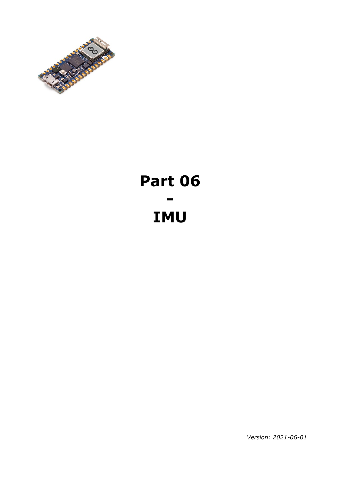

# **Part 06 - IMU**

*Version: 2021-06-01*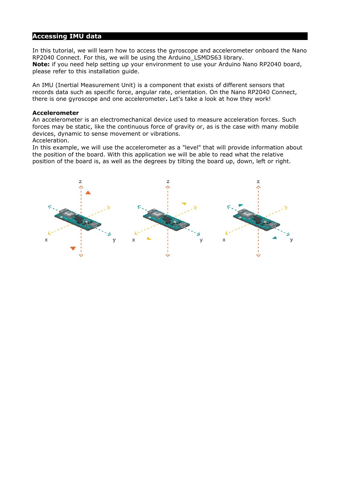## **Accessing IMU data**

In this tutorial, we will learn how to access the gyroscope and accelerometer onboard the Nano RP2040 Connect. For this, we will be using the Arduino\_LSMDS63 library. **Note:** if you need help setting up your environment to use your Arduino Nano RP2040 board, please refer to this installation guide.

An IMU (Inertial Measurement Unit) is a component that exists of different sensors that records data such as specific force, angular rate, orientation. On the Nano RP2040 Connect, there is one gyroscope and one accelerometer**.** Let's take a look at how they work!

#### **Accelerometer**

An accelerometer is an electromechanical device used to measure acceleration forces. Such forces may be static, like the continuous force of gravity or, as is the case with many mobile devices, dynamic to sense movement or vibrations. Acceleration.

In this example, we will use the accelerometer as a "level" that will provide information about the position of the board. With this application we will be able to read what the relative position of the board is, as well as the degrees by tilting the board up, down, left or right.

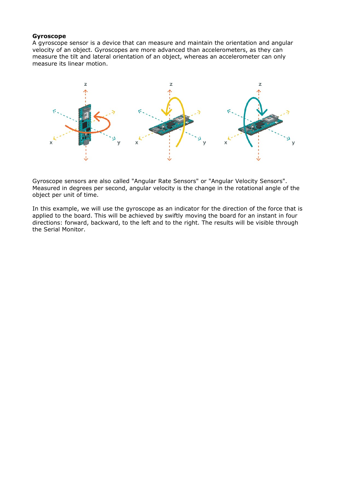#### **Gyroscope**

A gyroscope sensor is a device that can measure and maintain the orientation and angular velocity of an object. Gyroscopes are more advanced than accelerometers, as they can measure the tilt and lateral orientation of an object, whereas an accelerometer can only measure its linear motion.



Gyroscope sensors are also called "Angular Rate Sensors" or "Angular Velocity Sensors". Measured in degrees per second, angular velocity is the change in the rotational angle of the object per unit of time.

In this example, we will use the gyroscope as an indicator for the direction of the force that is applied to the board. This will be achieved by swiftly moving the board for an instant in four directions: forward, backward, to the left and to the right. The results will be visible through the Serial Monitor.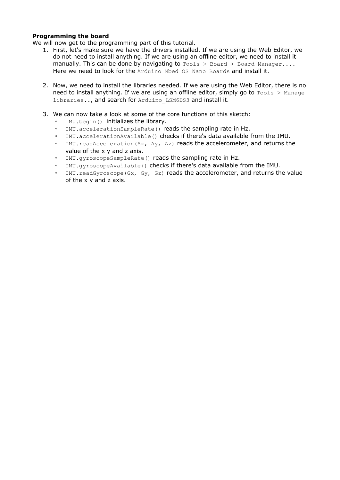#### **Programming the board**

We will now get to the programming part of this tutorial.

- 1. First, let's make sure we have the drivers installed. If we are using the Web Editor, we do not need to install anything. If we are using an offline editor, we need to install it manually. This can be done by navigating to  $Tools > Board > Board Manager...$ Here we need to look for the Arduino Mbed OS Nano Boards and install it.
- 2. Now, we need to install the libraries needed. If we are using the Web Editor, there is no need to install anything. If we are using an offline editor, simply go to  $T \circ 0.1$  s  $>$  Manage libraries.., and search for Arduino LSM6DS3 and install it.
- 3. We can now take a look at some of the core functions of this sketch:
	- IMU.begin() initializes the library.
	- IMU.accelerationSampleRate() reads the sampling rate in Hz.
	- IMU.accelerationAvailable() checks if there's data available from the IMU.
	- IMU. readAcceleration (Ax, Ay, Az) reads the accelerometer, and returns the value of the x y and z axis.
	- IMU.gyroscopeSampleRate() reads the sampling rate in Hz.
	- IMU.gyroscopeAvailable() checks if there's data available from the IMU.
	- IMU.readGyroscope(Gx, Gy, Gz) reads the accelerometer, and returns the value of the x y and z axis.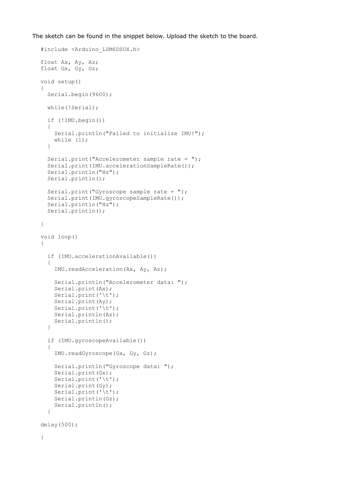The sketch can be found in the snippet below. Upload the sketch to the board.

```
#include <Arduino_LSM6DSOX.h>
float Ax, Ay, Az;
float Gx, Gy, Gz;
void setup() 
{
   Serial.begin(9600);
   while(!Serial);
   if (!IMU.begin()) 
   {
     Serial.println("Failed to initialize IMU!");
    while (1);
   }
   Serial.print("Accelerometer sample rate = ");
   Serial.print(IMU.accelerationSampleRate());
   Serial.println("Hz");
   Serial.println();
   Serial.print("Gyroscope sample rate = "); 
   Serial.print(IMU.gyroscopeSampleRate());
   Serial.println("Hz");
   Serial.println();
}
void loop() 
{
   if (IMU.accelerationAvailable()) 
   {
     IMU.readAcceleration(Ax, Ay, Az);
     Serial.println("Accelerometer data: ");
     Serial.print(Ax);
     Serial.print('\t');
     Serial.print(Ay);
     Serial.print('\t');
     Serial.println(Az);
     Serial.println();
   }
   if (IMU.gyroscopeAvailable()) 
   {
     IMU.readGyroscope(Gx, Gy, Gz);
    Serial.println("Gyroscope data: ");
     Serial.print(Gx);
     Serial.print('\t');
     Serial.print(Gy);
     Serial.print('\t');
     Serial.println(Gz);
     Serial.println();
   }
delay(500);
}
```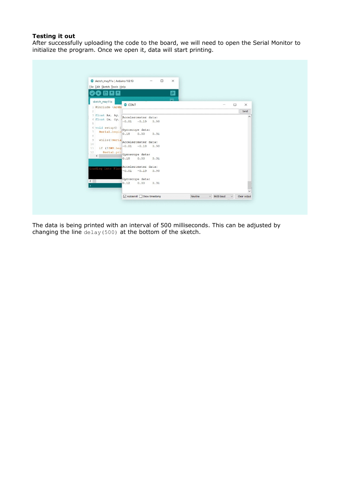## **Testing it out**

After successfully uploading the code to the board, we will need to open the Serial Monitor to initialize the program. Once we open it, data will start printing.



The data is being printed with an interval of 500 milliseconds. This can be adjusted by changing the line  $delag(500)$  at the bottom of the sketch.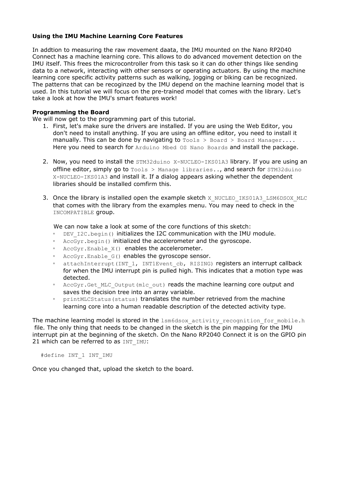#### **Using the IMU Machine Learning Core Features**

In addtion to measuring the raw movement daata, the IMU mounted on the Nano RP2040 Connect has a machine learning core. This allows to do advanced movement detection on the IMU itself. This frees the microcontroller from this task so it can do other things like sending data to a network, interacting with other sensors or operating actuators. By using the machine learning core specific activity patterns such as walking, jogging or biking can be recognized. The patterns that can be recoginzed by the IMU depend on the machine learning model that is used. In this tutorial we will focus on the pre-trained model that comes with the library. Let's take a look at how the IMU's smart features work!

#### **Programming the Board**

We will now get to the programming part of this tutorial.

- 1. First, let's make sure the drivers are installed. If you are using the Web Editor, you don't need to install anything. If you are using an offline editor, you need to install it manually. This can be done by navigating to  $Tools > Board > Board$  Manager.... Here you need to search for Arduino Mbed OS Nano Boards and install the package.
- 2. Now, you need to install the STM32duino X-NUCLEO-IKS01A3 library. If you are using an offline editor, simply go to  $Tools$  > Manage libraries.., and search for  $STM32duino$ X-NUCLEO-IKS01A3 and install it. If a dialog appears asking whether the dependent libraries should be installed comfirm this.
- 3. Once the library is installed open the example sketch X NUCLEO IKS01A3 LSM6DSOX MLC that comes with the library from the examples menu. You may need to check in the INCOMPATIBLE group.

We can now take a look at some of the core functions of this sketch:

- DEV\_I2C.begin() initializes the I2C communication with the IMU module.
- AccGyr.begin() initialized the accelerometer and the gyroscope.
- AccGyr.Enable\_X() enables the accelerometer.
- AccGyr.Enable G() enables the gyroscope sensor.
- attachInterrupt(INT 1, INT1Event cb, RISING) registers an interrupt callback for when the IMU interrupt pin is pulled high. This indicates that a motion type was detected.
- AccGyr.Get\_MLC\_Output(mlc\_out) reads the machine learning core output and saves the decision tree into an array variable.
- printMLCStatus (status) translates the number retrieved from the machine learning core into a human readable description of the detected activity type.

The machine learning model is stored in the lsm6dsox activity recognition for mobile.h file. The only thing that needs to be changed in the sketch is the pin mapping for the IMU interrupt pin at the beginning of the sketch. On the Nano RP2040 Connect it is on the GPIO pin 21 which can be referred to as INT\_IMU:

#define INT\_1 INT\_IMU

Once you changed that, upload the sketch to the board.